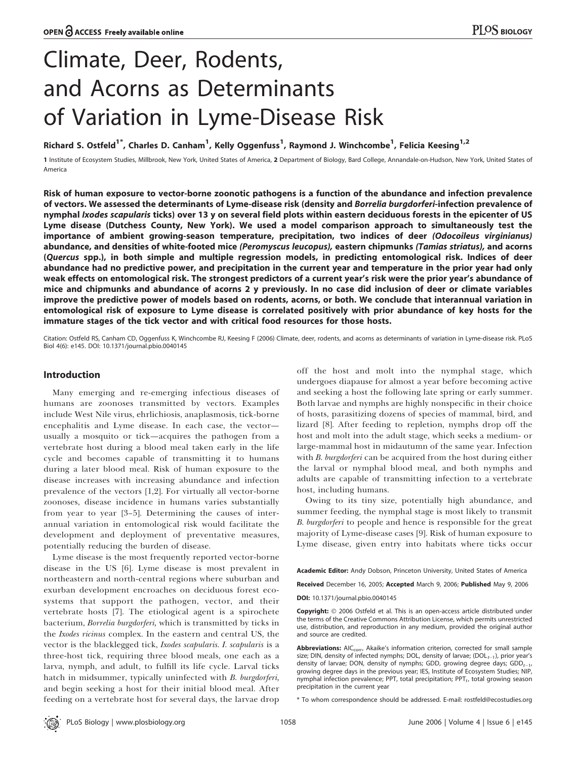# Climate, Deer, Rodents, and Acorns as Determinants of Variation in Lyme-Disease Risk

Richard S. Ostfeld<sup>1\*</sup>, Charles D. Canham<sup>1</sup>, Kelly Oggenfuss<sup>1</sup>, Raymond J. Winchcombe<sup>1</sup>, Felicia Keesing<sup>1,2</sup>

1 Institute of Ecosystem Studies, Millbrook, New York, United States of America, 2 Department of Biology, Bard College, Annandale-on-Hudson, New York, United States of America

Risk of human exposure to vector-borne zoonotic pathogens is a function of the abundance and infection prevalence of vectors. We assessed the determinants of Lyme-disease risk (density and Borrelia burgdorferi-infection prevalence of nymphal *Ixodes scapularis* ticks) over 13 y on several field plots within eastern deciduous forests in the epicenter of US Lyme disease (Dutchess County, New York). We used a model comparison approach to simultaneously test the importance of ambient growing-season temperature, precipitation, two indices of deer (Odocoileus virginianus) abundance, and densities of white-footed mice (Peromyscus leucopus), eastern chipmunks (Tamias striatus), and acorns (Quercus spp.), in both simple and multiple regression models, in predicting entomological risk. Indices of deer abundance had no predictive power, and precipitation in the current year and temperature in the prior year had only weak effects on entomological risk. The strongest predictors of a current year's risk were the prior year's abundance of mice and chipmunks and abundance of acorns 2 y previously. In no case did inclusion of deer or climate variables improve the predictive power of models based on rodents, acorns, or both. We conclude that interannual variation in entomological risk of exposure to Lyme disease is correlated positively with prior abundance of key hosts for the immature stages of the tick vector and with critical food resources for those hosts.

Citation: Ostfeld RS, Canham CD, Oggenfuss K, Winchcombe RJ, Keesing F (2006) Climate, deer, rodents, and acorns as determinants of variation in Lyme-disease risk. PLoS Biol 4(6): e145. DOI: 10.1371/journal.pbio.0040145

# Introduction

Many emerging and re-emerging infectious diseases of humans are zoonoses transmitted by vectors. Examples include West Nile virus, ehrlichiosis, anaplasmosis, tick-borne encephalitis and Lyme disease. In each case, the vector usually a mosquito or tick—acquires the pathogen from a vertebrate host during a blood meal taken early in the life cycle and becomes capable of transmitting it to humans during a later blood meal. Risk of human exposure to the disease increases with increasing abundance and infection prevalence of the vectors [1,2]. For virtually all vector-borne zoonoses, disease incidence in humans varies substantially from year to year [3–5]. Determining the causes of interannual variation in entomological risk would facilitate the development and deployment of preventative measures, potentially reducing the burden of disease.

Lyme disease is the most frequently reported vector-borne disease in the US [6]. Lyme disease is most prevalent in northeastern and north-central regions where suburban and exurban development encroaches on deciduous forest ecosystems that support the pathogen, vector, and their vertebrate hosts [7]. The etiological agent is a spirochete bacterium, Borrelia burgdorferi, which is transmitted by ticks in the *Ixodes ricinus* complex. In the eastern and central US, the vector is the blacklegged tick, Ixodes scapularis. I. scapularis is a three-host tick, requiring three blood meals, one each as a larva, nymph, and adult, to fulfill its life cycle. Larval ticks hatch in midsummer, typically uninfected with B. burgdorferi, and begin seeking a host for their initial blood meal. After feeding on a vertebrate host for several days, the larvae drop off the host and molt into the nymphal stage, which undergoes diapause for almost a year before becoming active and seeking a host the following late spring or early summer. Both larvae and nymphs are highly nonspecific in their choice of hosts, parasitizing dozens of species of mammal, bird, and lizard [8]. After feeding to repletion, nymphs drop off the host and molt into the adult stage, which seeks a medium- or large-mammal host in midautumn of the same year. Infection with B. burgdorferi can be acquired from the host during either the larval or nymphal blood meal, and both nymphs and adults are capable of transmitting infection to a vertebrate host, including humans.

Owing to its tiny size, potentially high abundance, and summer feeding, the nymphal stage is most likely to transmit B. burgdorferi to people and hence is responsible for the great majority of Lyme-disease cases [9]. Risk of human exposure to Lyme disease, given entry into habitats where ticks occur

Academic Editor: Andy Dobson, Princeton University, United States of America

Received December 16, 2005; Accepted March 9, 2006; Published May 9, 2006 DOI: 10.1371/journal.pbio.0040145

Copyright: © 2006 Ostfeld et al. This is an open-access article distributed under the terms of the Creative Commons Attribution License, which permits unrestricted use, distribution, and reproduction in any medium, provided the original author and source are credited.

Abbreviations: AIC<sub>corr</sub>, Akaike's information criterion, corrected for small sample size; DIN, density of infected nymphs; DOL, density of larvae;  $(DOL_{t-1})$ , prior year's density of larvae; DON, density of nymphs; GDD, growing degree days; GDD $_{t-1}$ , growing degree days in the previous year; IES, Institute of Ecosystem Studies; NIP, nymphal infection prevalence; PPT, total precipitation;  $PPT_t$ , total growing season precipitation in the current year

\* To whom correspondence should be addressed. E-mail: rostfeld@ecostudies.org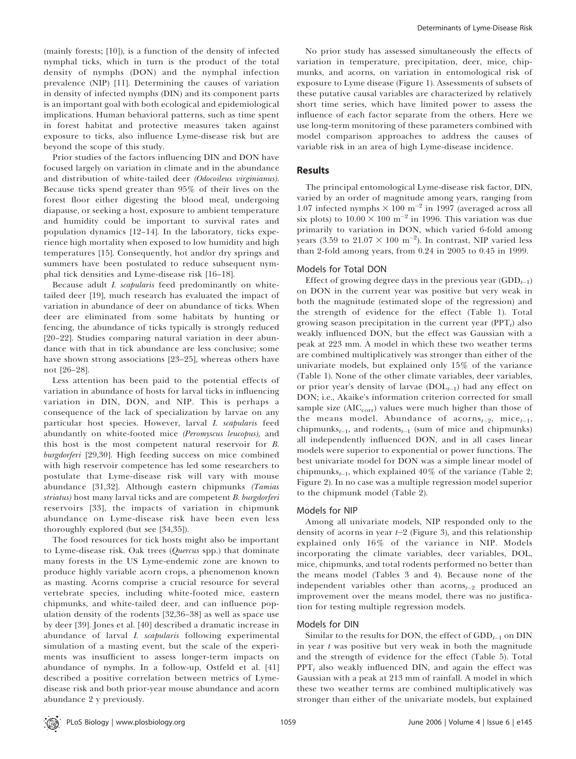(mainly forests; [10]), is a function of the density of infected nymphal ticks, which in turn is the product of the total density of nymphs (DON) and the nymphal infection prevalence (NIP) [11]. Determining the causes of variation in density of infected nymphs (DIN) and its component parts is an important goal with both ecological and epidemiological implications. Human behavioral patterns, such as time spent in forest habitat and protective measures taken against exposure to ticks, also influence Lyme-disease risk but are beyond the scope of this study.

Prior studies of the factors influencing DIN and DON have focused largely on variation in climate and in the abundance and distribution of white-tailed deer (Odocoileus virginianus). Because ticks spend greater than 95% of their lives on the forest floor either digesting the blood meal, undergoing diapause, or seeking a host, exposure to ambient temperature and humidity could be important to survival rates and population dynamics [12–14]. In the laboratory, ticks experience high mortality when exposed to low humidity and high temperatures [15]. Consequently, hot and/or dry springs and summers have been postulated to reduce subsequent nymphal tick densities and Lyme-disease risk [16–18].

Because adult I. scapularis feed predominantly on whitetailed deer [19], much research has evaluated the impact of variation in abundance of deer on abundance of ticks. When deer are eliminated from some habitats by hunting or fencing, the abundance of ticks typically is strongly reduced [20–22]. Studies comparing natural variation in deer abundance with that in tick abundance are less conclusive; some have shown strong associations [23–25], whereas others have not [26–28].

Less attention has been paid to the potential effects of variation in abundance of hosts for larval ticks in influencing variation in DIN, DON, and NIP. This is perhaps a consequence of the lack of specialization by larvae on any particular host species. However, larval I. scapularis feed abundantly on white-footed mice (Peromyscus leucopus), and this host is the most competent natural reservoir for B. burgdorferi [29,30]. High feeding success on mice combined with high reservoir competence has led some researchers to postulate that Lyme-disease risk will vary with mouse abundance [31,32]. Although eastern chipmunks (Tamias striatus) host many larval ticks and are competent B. burgdorferi reservoirs [33], the impacts of variation in chipmunk abundance on Lyme-disease risk have been even less thoroughly explored (but see [34,35]).

The food resources for tick hosts might also be important to Lyme-disease risk. Oak trees (Quercus spp.) that dominate many forests in the US Lyme-endemic zone are known to produce highly variable acorn crops, a phenomenon known as masting. Acorns comprise a crucial resource for several vertebrate species, including white-footed mice, eastern chipmunks, and white-tailed deer, and can influence population density of the rodents [32,36–38] as well as space use by deer [39]. Jones et al. [40] described a dramatic increase in abundance of larval I. scapularis following experimental simulation of a masting event, but the scale of the experiments was insufficient to assess longer-term impacts on abundance of nymphs. In a follow-up, Ostfeld et al. [41] described a positive correlation between metrics of Lymedisease risk and both prior-year mouse abundance and acorn abundance 2 y previously.

No prior study has assessed simultaneously the effects of variation in temperature, precipitation, deer, mice, chipmunks, and acorns, on variation in entomological risk of exposure to Lyme disease (Figure 1). Assessments of subsets of these putative causal variables are characterized by relatively short time series, which have limited power to assess the influence of each factor separate from the others. Here we use long-term monitoring of these parameters combined with model comparison approaches to address the causes of variable risk in an area of high Lyme-disease incidence.

# **Results**

The principal entomological Lyme-disease risk factor, DIN, varied by an order of magnitude among years, ranging from 1.07 infected nymphs  $\times$  100 m<sup>-2</sup> in 1997 (averaged across all six plots) to  $10.00 \times 100 \text{ m}^{-2}$  in 1996. This variation was due primarily to variation in DON, which varied 6-fold among years (3.59 to  $21.07 \times 100 \text{ m}^{-2}$ ). In contrast, NIP varied less than 2-fold among years, from 0.24 in 2005 to 0.45 in 1999.

## Models for Total DON

Effect of growing degree days in the previous year  $(\text{GDD}_{t-1})$ on DON in the current year was positive but very weak in both the magnitude (estimated slope of the regression) and the strength of evidence for the effect (Table 1). Total growing season precipitation in the current year  $(PT_t)$  also weakly influenced DON, but the effect was Gaussian with a peak at 223 mm. A model in which these two weather terms are combined multiplicatively was stronger than either of the univariate models, but explained only 15% of the variance (Table 1). None of the other climate variables, deer variables, or prior year's density of larvae  $(DOL_{t-1})$  had any effect on DON; i.e., Akaike's information criterion corrected for small sample size  $(AIC_{\text{corr}})$  values were much higher than those of the means model. Abundance of acorns $_{t=2}$ , mice $_{t=1}$ , chipmunks<sub>t-1</sub>, and rodents<sub>t-1</sub> (sum of mice and chipmunks) all independently influenced DON, and in all cases linear models were superior to exponential or power functions. The best univariate model for DON was a simple linear model of chipmunks<sub>t-1</sub>, which explained 40% of the variance (Table 2; Figure 2). In no case was a multiple regression model superior to the chipmunk model (Table 2).

## Models for NIP

Among all univariate models, NIP responded only to the density of acorns in year  $t-2$  (Figure 3), and this relationship explained only 16% of the variance in NIP. Models incorporating the climate variables, deer variables, DOL, mice, chipmunks, and total rodents performed no better than the means model (Tables 3 and 4). Because none of the independent variables other than acorns $_{t=2}$  produced an improvement over the means model, there was no justification for testing multiple regression models.

#### Models for DIN

Similar to the results for DON, the effect of  $GDD_{t-1}$  on DIN in year  $t$  was positive but very weak in both the magnitude and the strength of evidence for the effect (Table 5). Total  $PPT_t$  also weakly influenced DIN, and again the effect was Gaussian with a peak at 213 mm of rainfall. A model in which these two weather terms are combined multiplicatively was stronger than either of the univariate models, but explained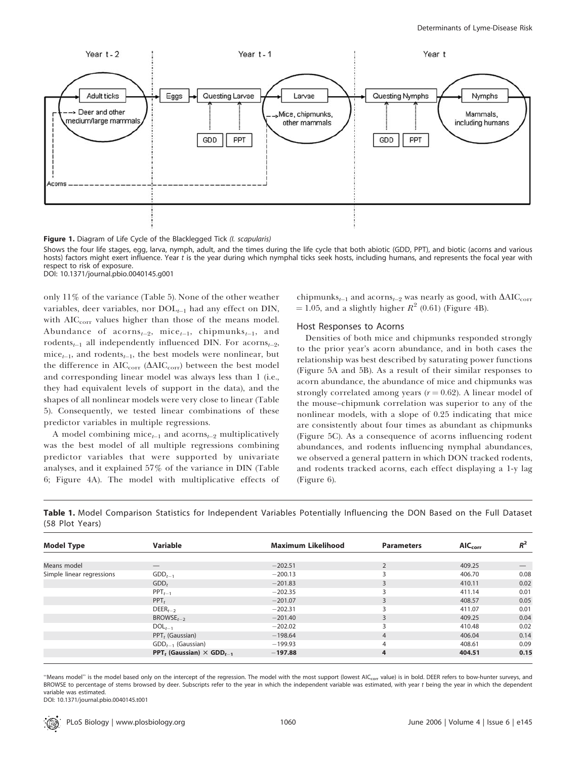

Figure 1. Diagram of Life Cycle of the Blacklegged Tick (I. scapularis)

Shows the four life stages, egg, larva, nymph, adult, and the times during the life cycle that both abiotic (GDD, PPT), and biotic (acorns and various hosts) factors might exert influence. Year t is the year during which nymphal ticks seek hosts, including humans, and represents the focal year with respect to risk of exposure. DOI: 10.1371/journal.pbio.0040145.g001

only 11% of the variance (Table 5). None of the other weather variables, deer variables, nor  $DOL_{t-1}$  had any effect on DIN, with AIC<sub>corr</sub> values higher than those of the means model. Abundance of acorns<sub>t-2</sub>, mice<sub>t-1</sub>, chipmunks<sub>t-1</sub>, and rodents<sub>t-1</sub> all independently influenced DIN. For acorns<sub>t-2</sub>, mice<sub>t-1</sub>, and rodents<sub>t-1</sub>, the best models were nonlinear, but the difference in  $AIC_{\text{corr}}$  ( $\Delta AIC_{\text{corr}}$ ) between the best model and corresponding linear model was always less than 1 (i.e., they had equivalent levels of support in the data), and the shapes of all nonlinear models were very close to linear (Table 5). Consequently, we tested linear combinations of these predictor variables in multiple regressions.

A model combining mice<sub>t-1</sub> and acorns<sub>t-2</sub> multiplicatively was the best model of all multiple regressions combining predictor variables that were supported by univariate analyses, and it explained 57% of the variance in DIN (Table 6; Figure 4A). The model with multiplicative effects of

chipmunks<sub>t-1</sub> and acorns<sub>t-2</sub> was nearly as good, with  $\Delta AIC_{corr}$  $= 1.05$ , and a slightly higher  $R^2$  (0.61) (Figure 4B).

### Host Responses to Acorns

Densities of both mice and chipmunks responded strongly to the prior year's acorn abundance, and in both cases the relationship was best described by saturating power functions (Figure 5A and 5B). As a result of their similar responses to acorn abundance, the abundance of mice and chipmunks was strongly correlated among years  $(r = 0.62)$ . A linear model of the mouse–chipmunk correlation was superior to any of the nonlinear models, with a slope of 0.25 indicating that mice are consistently about four times as abundant as chipmunks (Figure 5C). As a consequence of acorns influencing rodent abundances, and rodents influencing nymphal abundances, we observed a general pattern in which DON tracked rodents, and rodents tracked acorns, each effect displaying a 1-y lag (Figure 6).

Table 1. Model Comparison Statistics for Independent Variables Potentially Influencing the DON Based on the Full Dataset (58 Plot Years)

| <b>Model Type</b>         | Variable                                                       | <b>Maximum Likelihood</b> | <b>Parameters</b> | $AIC_{corr}$ | $\mathbf{p}^2$ |
|---------------------------|----------------------------------------------------------------|---------------------------|-------------------|--------------|----------------|
|                           |                                                                |                           |                   |              |                |
| Means model               |                                                                | $-202.51$                 | 2                 | 409.25       |                |
| Simple linear regressions | $GDD_{t-1}$                                                    | $-200.13$                 | $\mathbf{D}$      | 406.70       | 0.08           |
|                           | GDD <sub>t</sub>                                               | $-201.83$                 | 3                 | 410.11       | 0.02           |
|                           | $PPT_{t-1}$                                                    | $-202.35$                 |                   | 411.14       | 0.01           |
|                           | $PPT_t$                                                        | $-201.07$                 | 3                 | 408.57       | 0.05           |
|                           | $DEER_{t-2}$                                                   | $-202.31$                 | ξ                 | 411.07       | 0.01           |
|                           | $BROWSE_{t-2}$                                                 | $-201.40$                 | 3                 | 409.25       | 0.04           |
|                           | $DOL_{t-1}$                                                    | $-202.02$                 | 3                 | 410.48       | 0.02           |
|                           | PPT, (Gaussian)                                                | $-198.64$                 | 4                 | 406.04       | 0.14           |
|                           | $GDD_{t-1}$ (Gaussian)                                         | $-199.93$                 | 4                 | 408.61       | 0.09           |
|                           | <b>PPT</b> <sub>t</sub> (Gaussian) $\times$ GDD <sub>t-1</sub> | $-197.88$                 | 4                 | 404.51       | 0.15           |

"Means model" is the model based only on the intercept of the regression. The model with the most support (lowest AIC<sub>corr</sub> value) is in bold. DEER refers to bow-hunter surveys, and BROWSE to percentage of stems browsed by deer. Subscripts refer to the year in which the independent variable was estimated, with year t being the year in which the dependent variable was estimated.

DOI: 10.1371/journal.pbio.0040145.t001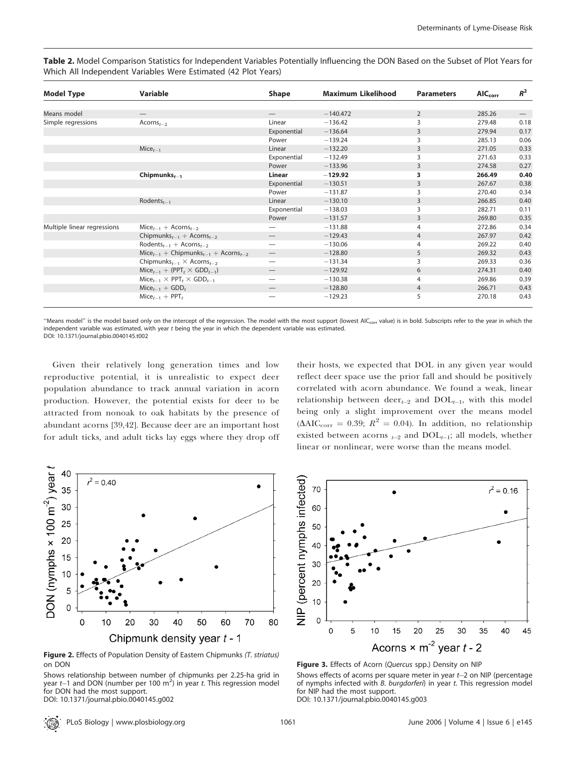Table 2. Model Comparison Statistics for Independent Variables Potentially Influencing the DON Based on the Subset of Plot Years for Which All Independent Variables Were Estimated (42 Plot Years)

| <b>Model Type</b>           | Variable                                                        | <b>Shape</b>                    | <b>Maximum Likelihood</b> | <b>Parameters</b> | $AIC_{corr}$ | $R^2$                         |
|-----------------------------|-----------------------------------------------------------------|---------------------------------|---------------------------|-------------------|--------------|-------------------------------|
|                             |                                                                 |                                 |                           |                   |              |                               |
| Means model                 |                                                                 |                                 | $-140.472$                | $\overline{2}$    | 285.26       | $\overbrace{\phantom{12333}}$ |
| Simple regressions          | Acorns $_{t-2}$                                                 | Linear                          | $-136.42$                 | 3                 | 279.48       | 0.18                          |
|                             |                                                                 | Exponential                     | $-136.64$                 | 3                 | 279.94       | 0.17                          |
|                             |                                                                 | Power                           | $-139.24$                 | 3                 | 285.13       | 0.06                          |
|                             | $Mice_{t-1}$                                                    | Linear                          | $-132.20$                 | 3                 | 271.05       | 0.33                          |
|                             |                                                                 | Exponential                     | $-132.49$                 | 3                 | 271.63       | 0.33                          |
|                             |                                                                 | Power                           | $-133.96$                 | 3                 | 274.58       | 0.27                          |
|                             | Chipmunks $_{t-1}$                                              | Linear                          | $-129.92$                 | 3                 | 266.49       | 0.40                          |
|                             |                                                                 | Exponential                     | $-130.51$                 | 3                 | 267.67       | 0.38                          |
|                             |                                                                 | Power                           | $-131.87$                 | 3                 | 270.40       | 0.34                          |
|                             | Rodents $t_{t-1}$                                               | Linear                          | $-130.10$                 | 3                 | 266.85       | 0.40                          |
|                             |                                                                 | Exponential                     | $-138.03$                 | 3                 | 282.71       | 0.11                          |
|                             |                                                                 | Power                           | $-131.57$                 | 3                 | 269.80       | 0.35                          |
| Multiple linear regressions | $Mice_{t-1}$ + Acorns <sub>t-2</sub>                            |                                 | $-131.88$                 | 4                 | 272.86       | 0.34                          |
|                             | Chipmunks <sub>t-1</sub> + Acorns <sub>t-2</sub>                |                                 | $-129.43$                 | $\overline{4}$    | 267.97       | 0.42                          |
|                             | Rodents <sub>t-1</sub> + Acorns <sub>t-2</sub>                  | $\overline{\phantom{0}}$        | $-130.06$                 | 4                 | 269.22       | 0.40                          |
|                             | $Mice_{t-1}$ + Chipmunks <sub>t-1</sub> + Acorns <sub>t-2</sub> | $\qquad \qquad \longleftarrow$  | $-128.80$                 | 5                 | 269.32       | 0.43                          |
|                             | Chipmunks <sub>t-1</sub> $\times$ Acorns <sub>t-2</sub>         | $\overbrace{\phantom{12332}}$   | $-131.34$                 | 3                 | 269.33       | 0.36                          |
|                             | $Mice_{t-1} + (PPT_t \times GDD_{t-1})$                         | $\hspace{0.1mm}-\hspace{0.1mm}$ | $-129.92$                 | 6                 | 274.31       | 0.40                          |
|                             | $Mice_{t-1} \times PPT_t \times GDD_{t-1}$                      |                                 | $-130.38$                 | 4                 | 269.86       | 0.39                          |
|                             | $Mice_{t-1} + GDD_t$                                            |                                 | $-128.80$                 | $\overline{4}$    | 266.71       | 0.43                          |
|                             | $Mice_{t-1}$ + PPT <sub>t</sub>                                 |                                 | $-129.23$                 | 5                 | 270.18       | 0.43                          |

"Means model" is the model based only on the intercept of the regression. The model with the most support (lowest AIC<sub>corr</sub> value) is in bold. Subscripts refer to the year in which the independent variable was estimated, with year t being the year in which the dependent variable was estimated. DOI: 10.1371/journal.pbio.0040145.t002

Given their relatively long generation times and low reproductive potential, it is unrealistic to expect deer population abundance to track annual variation in acorn production. However, the potential exists for deer to be attracted from nonoak to oak habitats by the presence of abundant acorns [39,42]. Because deer are an important host for adult ticks, and adult ticks lay eggs where they drop off



Figure 2. Effects of Population Density of Eastern Chipmunks (T. striatus) on DON

Shows relationship between number of chipmunks per 2.25-ha grid in year  $t$  and DON (number per 100 m<sup>2</sup>) in year t. This regression model for DON had the most support.

DOI: 10.1371/journal.pbio.0040145.g002

their hosts, we expected that DOL in any given year would reflect deer space use the prior fall and should be positively correlated with acorn abundance. We found a weak, linear relationship between deer<sub>t-2</sub> and  $DOL_{t-1}$ , with this model being only a slight improvement over the means model  $(\Delta AIC_{corr} = 0.39; R^2 = 0.04)$ . In addition, no relationship existed between acorns  $_{t-2}$  and  $DOL_{t-1}$ ; all models, whether linear or nonlinear, were worse than the means model.



Figure 3. Effects of Acorn (Quercus spp.) Density on NIP Shows effects of acorns per square meter in year  $t-2$  on NIP (percentage of nymphs infected with B. burgdorferi) in year t. This regression model for NIP had the most support.

DOI: 10.1371/journal.pbio.0040145.g003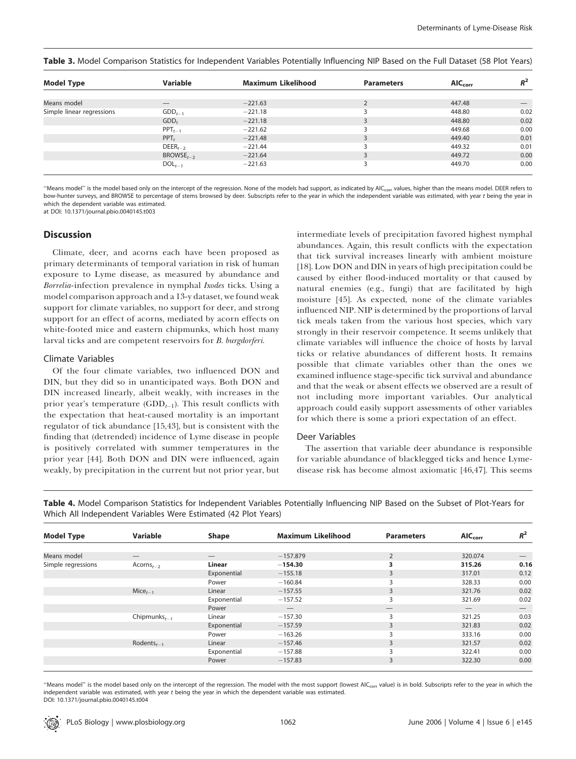| <b>Model Type</b>         | Variable                 | <b>Maximum Likelihood</b> | <b>Parameters</b> | $AIC_{corr}$ | $R^2$                           |
|---------------------------|--------------------------|---------------------------|-------------------|--------------|---------------------------------|
|                           |                          |                           |                   |              |                                 |
| Means model               | $\overline{\phantom{m}}$ | $-221.63$                 |                   | 447.48       | $\hspace{0.1mm}-\hspace{0.1mm}$ |
| Simple linear regressions | $GDD_{t-1}$              | $-221.18$                 |                   | 448.80       | 0.02                            |
|                           | GDD <sub>t</sub>         | $-221.18$                 |                   | 448.80       | 0.02                            |
|                           | $PPT_{t-1}$              | $-221.62$                 |                   | 449.68       | 0.00                            |
|                           | $PPT_t$                  | $-221.48$                 |                   | 449.40       | 0.01                            |
|                           | $DEER_{t-2}$             | $-221.44$                 |                   | 449.32       | 0.01                            |
|                           | $BROWSE_{t-2}$           | $-221.64$                 |                   | 449.72       | 0.00                            |
|                           | $DOL_{t-1}$              | $-221.63$                 |                   | 449.70       | 0.00                            |

Table 3. Model Comparison Statistics for Independent Variables Potentially Influencing NIP Based on the Full Dataset (58 Plot Years)

"Means model" is the model based only on the intercept of the regression. None of the models had support, as indicated by AIC<sub>corr</sub> values, higher than the means model. DEER refers to bow-hunter surveys, and BROWSE to percentage of stems browsed by deer. Subscripts refer to the year in which the independent variable was estimated, with year t being the year in which the dependent variable was estimated. at DOI: 10.1371/journal.pbio.0040145.t003

# **Discussion**

Climate, deer, and acorns each have been proposed as primary determinants of temporal variation in risk of human exposure to Lyme disease, as measured by abundance and Borrelia-infection prevalence in nymphal Ixodes ticks. Using a model comparison approach and a 13-y dataset, we found weak support for climate variables, no support for deer, and strong support for an effect of acorns, mediated by acorn effects on white-footed mice and eastern chipmunks, which host many larval ticks and are competent reservoirs for B. burgdorferi.

## Climate Variables

Of the four climate variables, two influenced DON and DIN, but they did so in unanticipated ways. Both DON and DIN increased linearly, albeit weakly, with increases in the prior year's temperature  $(GDD_{t-1})$ . This result conflicts with the expectation that heat-caused mortality is an important regulator of tick abundance [15,43], but is consistent with the finding that (detrended) incidence of Lyme disease in people is positively correlated with summer temperatures in the prior year [44]. Both DON and DIN were influenced, again weakly, by precipitation in the current but not prior year, but

intermediate levels of precipitation favored highest nymphal abundances. Again, this result conflicts with the expectation that tick survival increases linearly with ambient moisture [18]. Low DON and DIN in years of high precipitation could be caused by either flood-induced mortality or that caused by natural enemies (e.g., fungi) that are facilitated by high moisture [45]. As expected, none of the climate variables influenced NIP. NIP is determined by the proportions of larval tick meals taken from the various host species, which vary strongly in their reservoir competence. It seems unlikely that climate variables will influence the choice of hosts by larval ticks or relative abundances of different hosts. It remains possible that climate variables other than the ones we examined influence stage-specific tick survival and abundance and that the weak or absent effects we observed are a result of not including more important variables. Our analytical approach could easily support assessments of other variables for which there is some a priori expectation of an effect.

#### Deer Variables

The assertion that variable deer abundance is responsible for variable abundance of blacklegged ticks and hence Lymedisease risk has become almost axiomatic [46,47]. This seems

Table 4. Model Comparison Statistics for Independent Variables Potentially Influencing NIP Based on the Subset of Plot-Years for Which All Independent Variables Were Estimated (42 Plot Years)

| <b>Model Type</b>  | Variable           | <b>Shape</b> | <b>Maximum Likelihood</b> | <b>Parameters</b>        | $\mathsf{AIC}_\mathsf{corr}$ | $R^2$ |
|--------------------|--------------------|--------------|---------------------------|--------------------------|------------------------------|-------|
|                    |                    |              |                           |                          |                              |       |
| Means model        |                    |              | $-157.879$                | 2                        | 320.074                      |       |
| Simple regressions | $Acorns_{t-2}$     | Linear       | $-154.30$                 | 3                        | 315.26                       | 0.16  |
|                    |                    | Exponential  | $-155.18$                 | 3                        | 317.01                       | 0.12  |
|                    |                    | Power        | $-160.84$                 | 3                        | 328.33                       | 0.00  |
|                    | $Mice_{t-1}$       | Linear       | $-157.55$                 | 3                        | 321.76                       | 0.02  |
|                    |                    | Exponential  | $-157.52$                 | 3                        | 321.69                       | 0.02  |
|                    |                    | Power        |                           |                          |                              |       |
|                    | Chipmunks $t_{-1}$ | Linear       | $-157.30$                 | 3                        | 321.25                       | 0.03  |
|                    |                    | Exponential  | $-157.59$                 | 3                        | 321.83                       | 0.02  |
|                    |                    | Power        | $-163.26$                 | 3                        | 333.16                       | 0.00  |
|                    | Rodents $_{t-1}$   | Linear       | $-157.46$                 | 3                        | 321.57                       | 0.02  |
|                    |                    | Exponential  | $-157.88$                 | $\overline{\phantom{0}}$ | 322.41                       | 0.00  |
|                    |                    | Power        | $-157.83$                 | 3                        | 322.30                       | 0.00  |
|                    |                    |              |                           |                          |                              |       |

"Means model" is the model based only on the intercept of the regression. The model with the most support (lowest AIC<sub>corr</sub> value) is in bold. Subscripts refer to the year in which the independent variable was estimated, with year t being the year in which the dependent variable was estimated. DOI: 10.1371/journal.pbio.0040145.t004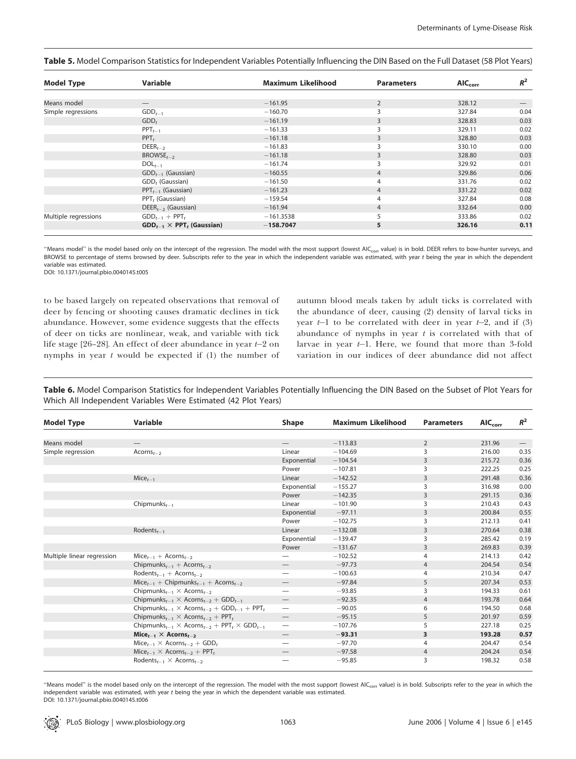| <b>Model Type</b>    | <b>Variable</b>                     | <b>Maximum Likelihood</b> | <b>Parameters</b> | <b>AICcorr</b> | $R^2$ |
|----------------------|-------------------------------------|---------------------------|-------------------|----------------|-------|
|                      |                                     |                           |                   |                |       |
| Means model          |                                     | $-161.95$                 | $\overline{2}$    | 328.12         |       |
| Simple regressions   | $GDD_{t-1}$                         | $-160.70$                 | 3                 | 327.84         | 0.04  |
|                      | GDD <sub>t</sub>                    | $-161.19$                 | 3                 | 328.83         | 0.03  |
|                      | $PPT_{t-1}$                         | $-161.33$                 | 3                 | 329.11         | 0.02  |
|                      | $PPT_t$                             | $-161.18$                 | 3                 | 328.80         | 0.03  |
|                      | $DEER_{t-2}$                        | $-161.83$                 | 3                 | 330.10         | 0.00  |
|                      | $BROWSE_{t-2}$                      | $-161.18$                 | 3                 | 328.80         | 0.03  |
|                      | $DOL_{t-1}$                         | $-161.74$                 | 3                 | 329.92         | 0.01  |
|                      | $GDD_{t-1}$ (Gaussian)              | $-160.55$                 | $\overline{4}$    | 329.86         | 0.06  |
|                      | GDD <sub>t</sub> (Gaussian)         | $-161.50$                 | 4                 | 331.76         | 0.02  |
|                      | $PPT_{t-1}$ (Gaussian)              | $-161.23$                 | $\overline{4}$    | 331.22         | 0.02  |
|                      | PPT, (Gaussian)                     | $-159.54$                 | 4                 | 327.84         | 0.08  |
|                      | $DEER_{t-2}$ (Gaussian)             | $-161.94$                 | $\overline{4}$    | 332.64         | 0.00  |
| Multiple regressions | $GDD_{t-1}$ + PPT,                  | $-161.3538$               |                   | 333.86         | 0.02  |
|                      | $GDD_{t-1} \times PPT_t$ (Gaussian) | $-158.7047$               | 5                 | 326.16         | 0.11  |

Table 5. Model Comparison Statistics for Independent Variables Potentially Influencing the DIN Based on the Full Dataset (58 Plot Years)

"Means model" is the model based only on the intercept of the regression. The model with the most support (lowest AIC<sub>corr</sub> value) is in bold. DEER refers to bow-hunter surveys, and BROWSE to percentage of stems browsed by deer. Subscripts refer to the year in which the independent variable was estimated, with year t being the year in which the dependent variable was estimated.

DOI: 10.1371/journal.pbio.0040145.t005

to be based largely on repeated observations that removal of deer by fencing or shooting causes dramatic declines in tick abundance. However, some evidence suggests that the effects of deer on ticks are nonlinear, weak, and variable with tick life stage  $[26-28]$ . An effect of deer abundance in year  $t-2$  on nymphs in year  $t$  would be expected if  $(1)$  the number of autumn blood meals taken by adult ticks is correlated with the abundance of deer, causing (2) density of larval ticks in year  $t-1$  to be correlated with deer in year  $t-2$ , and if (3) abundance of nymphs in year  $t$  is correlated with that of larvae in year  $t-1$ . Here, we found that more than 3-fold variation in our indices of deer abundance did not affect

Table 6. Model Comparison Statistics for Independent Variables Potentially Influencing the DIN Based on the Subset of Plot Years for Which All Independent Variables Were Estimated (42 Plot Years)

| <b>Model Type</b>          | <b>Variable</b>                                                                                 | <b>Shape</b>                    | <b>Maximum Likelihood</b> | <b>Parameters</b> | $AIC_{corr}$ | $R^2$ |
|----------------------------|-------------------------------------------------------------------------------------------------|---------------------------------|---------------------------|-------------------|--------------|-------|
|                            |                                                                                                 |                                 |                           |                   |              |       |
| Means model                |                                                                                                 |                                 | $-113.83$                 | $\overline{2}$    | 231.96       |       |
| Simple regression          | $Acorns_{t-2}$                                                                                  | Linear                          | $-104.69$                 | 3                 | 216.00       | 0.35  |
|                            |                                                                                                 | Exponential                     | $-104.54$                 | 3                 | 215.72       | 0.36  |
|                            |                                                                                                 | Power                           | $-107.81$                 | 3                 | 222.25       | 0.25  |
|                            | $Mice_{t-1}$                                                                                    | Linear                          | $-142.52$                 | 3                 | 291.48       | 0.36  |
|                            |                                                                                                 | Exponential                     | $-155.27$                 | 3                 | 316.98       | 0.00  |
|                            |                                                                                                 | Power                           | $-142.35$                 | 3                 | 291.15       | 0.36  |
|                            | Chipmunks $_{t-1}$                                                                              | Linear                          | $-101.90$                 | 3                 | 210.43       | 0.43  |
|                            |                                                                                                 | Exponential                     | $-97.11$                  | 3                 | 200.84       | 0.55  |
|                            |                                                                                                 | Power                           | $-102.75$                 | 3                 | 212.13       | 0.41  |
|                            | Rodents $t_{t-1}$                                                                               | Linear                          | $-132.08$                 | 3                 | 270.64       | 0.38  |
|                            |                                                                                                 | Exponential                     | $-139.47$                 | 3                 | 285.42       | 0.19  |
|                            |                                                                                                 | Power                           | $-131.67$                 | 3                 | 269.83       | 0.39  |
| Multiple linear regression | $Mice_{t-1}$ + Acorns <sub>t-2</sub>                                                            |                                 | $-102.52$                 | $\overline{4}$    | 214.13       | 0.42  |
|                            | Chipmunks <sub>t-1</sub> + Acorns <sub>t-2</sub>                                                |                                 | $-97.73$                  | $\overline{4}$    | 204.54       | 0.54  |
|                            | Rodents <sub>t-1</sub> + Acorns <sub>t-2</sub>                                                  |                                 | $-100.63$                 | 4                 | 210.34       | 0.47  |
|                            | $Mice_{t-1}$ + Chipmunks <sub>t-1</sub> + Acorns <sub>t-2</sub>                                 |                                 | $-97.84$                  | 5                 | 207.34       | 0.53  |
|                            | Chipmunks <sub>t-1</sub> $\times$ Acorns <sub>t-2</sub>                                         |                                 | $-93.85$                  | 3                 | 194.33       | 0.61  |
|                            | Chipmunks <sub>t-1</sub> $\times$ Acorns <sub>t-2</sub> + GDD <sub>t-1</sub>                    | $\hspace{0.1mm}-\hspace{0.1mm}$ | $-92.35$                  | $\overline{4}$    | 193.78       | 0.64  |
|                            | Chipmunks <sub>t-1</sub> $\times$ Acorns <sub>t-2</sub> + GDD <sub>t-1</sub> + PPT <sub>t</sub> | $\hspace{0.05cm}$               | $-90.05$                  | 6                 | 194.50       | 0.68  |
|                            | Chipmunks <sub>t-1</sub> $\times$ Acorns <sub>t-2</sub> + PPT <sub>t</sub>                      |                                 | $-95.15$                  | 5                 | 201.97       | 0.59  |
|                            | Chipmunks <sub>t-1</sub> $\times$ Acorns <sub>t-2</sub> + PPT, $\times$ GDD <sub>t-1</sub>      | $\hspace{0.1mm}-\hspace{0.1mm}$ | $-107.76$                 | 5                 | 227.18       | 0.25  |
|                            | Mice <sub>t-1</sub> $\times$ Acorns <sub>t-2</sub>                                              |                                 | $-93.31$                  | 3                 | 193.28       | 0.57  |
|                            | $Mice_{t-1} \times Acorns_{t-2} + GDD_t$                                                        |                                 | $-97.70$                  | 4                 | 204.47       | 0.54  |
|                            | $Mice_{t-1} \times Acorns_{t-2} + PPT_t$                                                        |                                 | $-97.58$                  | 4                 | 204.24       | 0.54  |
|                            | Rodents <sub>t-1</sub> $\times$ Acorns <sub>t-2</sub>                                           |                                 | $-95.85$                  | 3                 | 198.32       | 0.58  |

"Means model" is the model based only on the intercept of the regression. The model with the most support (lowest AIC<sub>corr</sub> value) is in bold. Subscripts refer to the year in which the independent variable was estimated, with year t being the year in which the dependent variable was estimated. DOI: 10.1371/journal.pbio.0040145.t006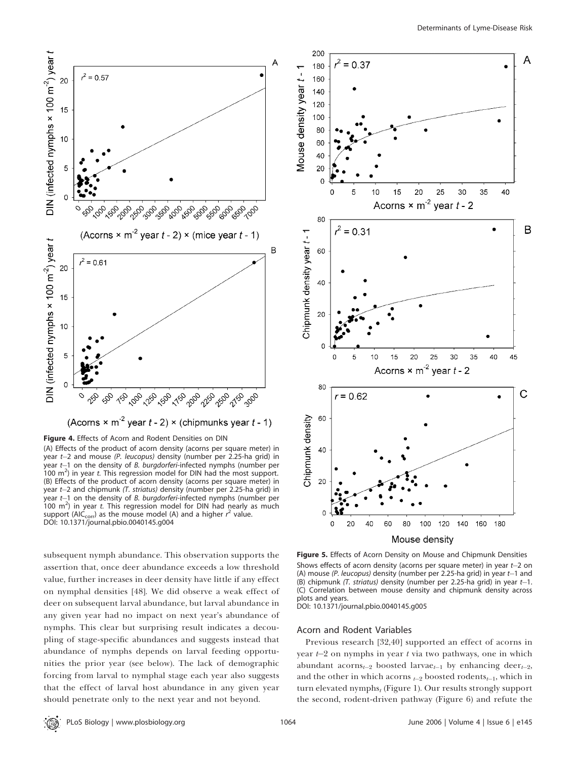

Figure 4. Effects of Acorn and Rodent Densities on DIN

(A) Effects of the product of acorn density (acorns per square meter) in year t-2 and mouse (P. leucopus) density (number per 2.25-ha grid) in year  $t-1$  on the density of B. burgdorferi-infected nymphs (number per  $(100 \text{ m}^2)$  in year t. This regression model for DIN had the most support. (B) Effects of the product of acorn density (acorns per square meter) in year t-2 and chipmunk (T. striatus) density (number per 2.25-ha grid) in year  $t-1$  on the density of B. burgdorferi-infected nymphs (number per  $100 \, \text{m}^2$ ) in year t. This regression model for DIN had nearly as much support (AI $\acute{\textsf{C}}_{\textsf{corr}}$ ) as the mouse model (A) and a higher  $r^2$  value. DOI: 10.1371/journal.pbio.0040145.g004

subsequent nymph abundance. This observation supports the assertion that, once deer abundance exceeds a low threshold value, further increases in deer density have little if any effect on nymphal densities [48]. We did observe a weak effect of deer on subsequent larval abundance, but larval abundance in any given year had no impact on next year's abundance of nymphs. This clear but surprising result indicates a decoupling of stage-specific abundances and suggests instead that abundance of nymphs depends on larval feeding opportunities the prior year (see below). The lack of demographic forcing from larval to nymphal stage each year also suggests that the effect of larval host abundance in any given year should penetrate only to the next year and not beyond.



Figure 5. Effects of Acorn Density on Mouse and Chipmunk Densities Shows effects of acorn density (acorns per square meter) in year  $t-2$  on (A) mouse (P. leucopus) density (number per 2.25-ha grid) in year  $t-1$  and (B) chipmunk  $(T.$  striatus) density (number per 2.25-ha grid) in year  $t-1$ . (C) Correlation between mouse density and chipmunk density across plots and years.

DOI: 10.1371/journal.pbio.0040145.g005

### Acorn and Rodent Variables

Previous research [32,40] supported an effect of acorns in year  $t-2$  on nymphs in year t via two pathways, one in which abundant acorns<sub>t-2</sub> boosted larvae<sub>t-1</sub> by enhancing deer<sub>t-2</sub>, and the other in which acorns  $t_{2}$  boosted rodents $t_{-1}$ , which in turn elevated nymphs $_t$  (Figure 1). Our results strongly support the second, rodent-driven pathway (Figure 6) and refute the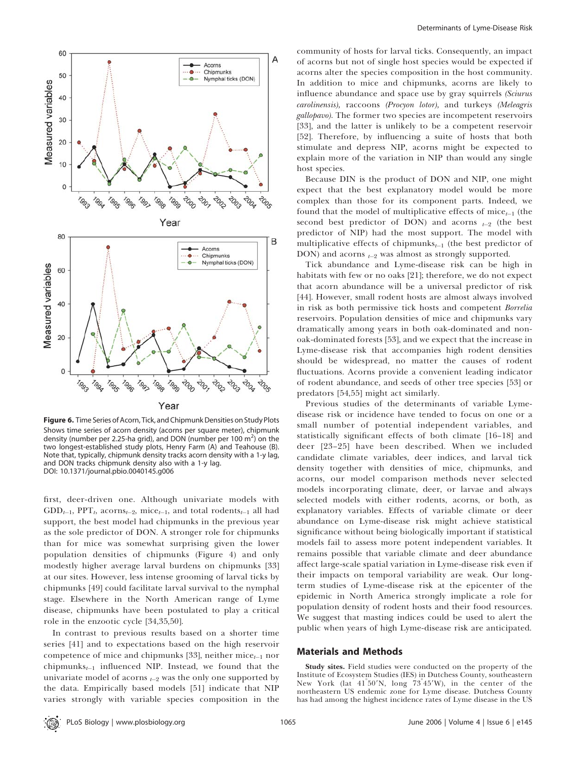

Figure 6. Time Series of Acorn, Tick, and Chipmunk Densities on Study Plots Shows time series of acorn density (acorns per square meter), chipmunk density (number per 2.25-ha grid), and DON (number per 100 m<sup>2</sup>) on the two longest-established study plots, Henry Farm (A) and Teahouse (B). Note that, typically, chipmunk density tracks acorn density with a 1-y lag, and DON tracks chipmunk density also with a 1-y lag. DOI: 10.1371/journal.pbio.0040145.g006

first, deer-driven one. Although univariate models with  $GDD_{t-1}$ , PPT<sub>t</sub>, acorns<sub>t-2</sub>, mice<sub>t-1</sub>, and total rodents<sub>t-1</sub> all had support, the best model had chipmunks in the previous year as the sole predictor of DON. A stronger role for chipmunks than for mice was somewhat surprising given the lower population densities of chipmunks (Figure 4) and only modestly higher average larval burdens on chipmunks [33] at our sites. However, less intense grooming of larval ticks by chipmunks [49] could facilitate larval survival to the nymphal stage. Elsewhere in the North American range of Lyme disease, chipmunks have been postulated to play a critical role in the enzootic cycle [34,35,50].

In contrast to previous results based on a shorter time series [41] and to expectations based on the high reservoir competence of mice and chipmunks [33], neither mice $_{t-1}$  nor chipmunks $t_{t-1}$  influenced NIP. Instead, we found that the univariate model of acorns  $t_2$  was the only one supported by the data. Empirically based models [51] indicate that NIP varies strongly with variable species composition in the

community of hosts for larval ticks. Consequently, an impact of acorns but not of single host species would be expected if acorns alter the species composition in the host community. In addition to mice and chipmunks, acorns are likely to influence abundance and space use by gray squirrels (Sciurus carolinensis), raccoons (Procyon lotor), and turkeys (Meleagris gallopavo). The former two species are incompetent reservoirs [33], and the latter is unlikely to be a competent reservoir [52]. Therefore, by influencing a suite of hosts that both stimulate and depress NIP, acorns might be expected to explain more of the variation in NIP than would any single host species.

Because DIN is the product of DON and NIP, one might expect that the best explanatory model would be more complex than those for its component parts. Indeed, we found that the model of multiplicative effects of mice $_{t-1}$  (the second best predictor of DON) and acorns  $t-2$  (the best predictor of NIP) had the most support. The model with multiplicative effects of chipmunks $_{t-1}$  (the best predictor of DON) and acorns  $t_{2}$  was almost as strongly supported.

Tick abundance and Lyme-disease risk can be high in habitats with few or no oaks [21]; therefore, we do not expect that acorn abundance will be a universal predictor of risk [44]. However, small rodent hosts are almost always involved in risk as both permissive tick hosts and competent Borrelia reservoirs. Population densities of mice and chipmunks vary dramatically among years in both oak-dominated and nonoak-dominated forests [53], and we expect that the increase in Lyme-disease risk that accompanies high rodent densities should be widespread, no matter the causes of rodent fluctuations. Acorns provide a convenient leading indicator of rodent abundance, and seeds of other tree species [53] or predators [54,55] might act similarly.

Previous studies of the determinants of variable Lymedisease risk or incidence have tended to focus on one or a small number of potential independent variables, and statistically significant effects of both climate [16–18] and deer [23–25] have been described. When we included candidate climate variables, deer indices, and larval tick density together with densities of mice, chipmunks, and acorns, our model comparison methods never selected models incorporating climate, deer, or larvae and always selected models with either rodents, acorns, or both, as explanatory variables. Effects of variable climate or deer abundance on Lyme-disease risk might achieve statistical significance without being biologically important if statistical models fail to assess more potent independent variables. It remains possible that variable climate and deer abundance affect large-scale spatial variation in Lyme-disease risk even if their impacts on temporal variability are weak. Our longterm studies of Lyme-disease risk at the epicenter of the epidemic in North America strongly implicate a role for population density of rodent hosts and their food resources. We suggest that masting indices could be used to alert the public when years of high Lyme-disease risk are anticipated.

# Materials and Methods

Study sites. Field studies were conducted on the property of the Institute of Ecosystem Studies (IES) in Dutchess County, southeastern New York (lat 41<sup>°50'</sup>N, long 73<sup>°45'</sup>W), in the center of the northeastern US endemic zone for Lyme disease. Dutchess County has had among the highest incidence rates of Lyme disease in the US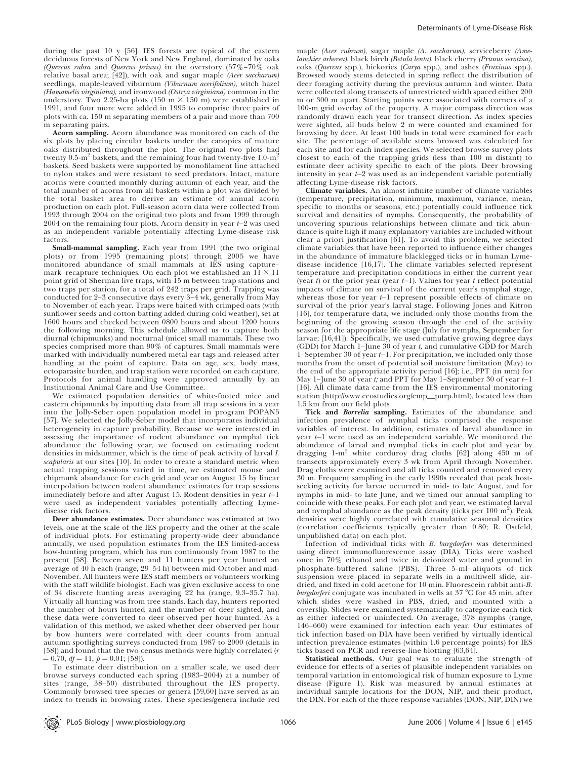during the past 10 y [56]. IES forests are typical of the eastern deciduous forests of New York and New England, dominated by oaks (Quercus rubra and Quercus prinus) in the overstory (57%–70% oak relative basal area;  $[42]$ ), with oak and sugar maple (Acer saccharum) seedlings, maple-leaved viburnum (Viburnum acerifolium), witch hazel (Hamamelis virginiana), and ironwood (Ostrya virginiana) common in the understory. Two 2.25-ha plots (150 m  $\times$  150 m) were established in 1991, and four more were added in 1995 to comprise three pairs of plots with ca. 150 m separating members of a pair and more than 700 m separating pairs.

Acorn sampling. Acorn abundance was monitored on each of the six plots by placing circular baskets under the canopies of mature oaks distributed throughout the plot. The original two plots had twenty  $0.5\text{-m}^2$  baskets, and the remaining four had twenty-five  $1.0\text{-m}^2$ baskets. Seed baskets were supported by monofilament line attached to nylon stakes and were resistant to seed predators. Intact, mature acorns were counted monthly during autumn of each year, and the total number of acorns from all baskets within a plot was divided by the total basket area to derive an estimate of annual acorn production on each plot. Full-season acorn data were collected from 1993 through 2004 on the original two plots and from 1999 through 2004 on the remaining four plots. Acorn density in year  $t-2$  was used as an independent variable potentially affecting Lyme-disease risk factors.

Small-mammal sampling. Each year from 1991 (the two original plots) or from 1995 (remaining plots) through 2005 we have monitored abundance of small mammals at IES using capture– mark–recapture techniques. On each plot we established an  $11 \times 11$ point grid of Sherman live traps, with 15 m between trap stations and two traps per station, for a total of 242 traps per grid. Trapping was conducted for 2–3 consecutive days every 3–4 wk, generally from May to November of each year. Traps were baited with crimped oats (with sunflower seeds and cotton batting added during cold weather), set at 1600 hours and checked between 0800 hours and about 1200 hours the following morning. This schedule allowed us to capture both diurnal (chipmunks) and nocturnal (mice) small mammals. These two species comprised more than 90% of captures. Small mammals were marked with individually numbered metal ear tags and released after handling at the point of capture. Data on age, sex, body mass, ectoparasite burden, and trap station were recorded on each capture. Protocols for animal handling were approved annually by an Institutional Animal Care and Use Committee.

We estimated population densities of white-footed mice and eastern chipmunks by inputting data from all trap sessions in a year into the Jolly-Seber open population model in program POPAN5 [57]. We selected the Jolly-Seber model that incorporates individual heterogeneity in capture probability. Because we were interested in assessing the importance of rodent abundance on nymphal tick abundance the following year, we focused on estimating rodent densities in midsummer, which is the time of peak activity of larval I. scapularis at our sites [10]. In order to create a standard metric when actual trapping sessions varied in time, we estimated mouse and chipmunk abundance for each grid and year on August 15 by linear interpolation between rodent abundance estimates for trap sessions immediately before and after August 15. Rodent densities in year  $t-1$ were used as independent variables potentially affecting Lymedisease risk factors.

Deer abundance estimates. Deer abundance was estimated at two levels, one at the scale of the IES property and the other at the scale of individual plots. For estimating property-wide deer abundance annually, we used population estimates from the IES limited-access bow-hunting program, which has run continuously from 1987 to the present [58]. Between seven and 11 hunters per year hunted an average of 40 h each (range, 29–54 h) between mid-October and mid-November. All hunters were IES staff members or volunteers working with the staff wildlife biologist. Each was given exclusive access to one of 34 discrete hunting areas averaging 22 ha (range, 9.3–35.7 ha). Virtually all hunting was from tree stands. Each day, hunters reported the number of hours hunted and the number of deer sighted, and these data were converted to deer observed per hour hunted. As a validation of this method, we asked whether deer observed per hour by bow hunters were correlated with deer counts from annual autumn spotlighting surveys conducted from 1987 to 2000 (details in [58]) and found that the two census methods were highly correlated (r  $= 0.70, df = 11, p = 0.01; [58].$ 

To estimate deer distribution on a smaller scale, we used deer browse surveys conducted each spring (1983–2004) at a number of sites (range, 38–50) distributed throughout the IES property. Commonly browsed tree species or genera [59,60] have served as an index to trends in browsing rates. These species/genera include red

maple (Acer rubrum), sugar maple (A. saccharum), serviceberry (Amelanchier arborea), black birch (Betula lenta), black cherry (Prunus serotina), oaks (Quercus spp.), hickories (Carya spp.), and ashes (Fraxinus spp.). Browsed woody stems detected in spring reflect the distribution of deer foraging activity during the previous autumn and winter. Data were collected along transects of unrestricted width spaced either 200 m or 300 m apart. Starting points were associated with corners of a 100-m grid overlay of the property. A major compass direction was randomly drawn each year for transect direction. As index species were sighted, all buds below 2 m were counted and examined for browsing by deer. At least 100 buds in total were examined for each site. The percentage of available stems browsed was calculated for each site and for each index species. We selected browse survey plots closest to each of the trapping grids (less than 100 m distant) to estimate deer activity specific to each of the plots. Deer browsing intensity in year  $t-2$  was used as an independent variable potentially affecting Lyme-disease risk factors.

Climate variables. An almost infinite number of climate variables (temperature, precipitation, minimum, maximum, variance, mean, specific to months or seasons, etc.) potentially could influence tick survival and densities of nymphs. Consequently, the probability of uncovering spurious relationships between climate and tick abundance is quite high if many explanatory variables are included without clear a priori justification [61]. To avoid this problem, we selected climate variables that have been reported to influence either changes in the abundance of immature blacklegged ticks or in human Lymedisease incidence [16,17]. The climate variables selected represent temperature and precipitation conditions in either the current year (year  $t$ ) or the prior year (year  $t-1$ ). Values for year  $t$  reflect potential impacts of climate on survival of the current year's nymphal stage, whereas those for year  $t-1$  represent possible effects of climate on survival of the prior year's larval stage. Following Jones and Kitron [16], for temperature data, we included only those months from the beginning of the growing season through the end of the activity season for the appropriate life stage (July for nymphs, September for larvae; [16,41]). Specifically, we used cumulative growing degree days  $(GDD)$  for March 1–June 30 of year t, and cumulative  $GDD$  for March 1-September 30 of year  $t-1$ . For precipitation, we included only those months from the onset of potential soil moisture limitation (May) to the end of the appropriate activity period [16]; i.e., PPT (in mm) for May 1–June 30 of year t; and PPT for May 1–September 30 of year  $t-1$ [16]. All climate data came from the IES environmental monitoring station (http://www.ecostudies.org/emp\_purp.html), located less than 1.5 km from our field plots

Tick and Borrelia sampling. Estimates of the abundance and infection prevalence of nymphal ticks comprised the response variables of interest. In addition, estimates of larval abundance in year  $t-1$  were used as an independent variable. We monitored the abundance of larval and nymphal ticks in each plot and year by<br>dragging 1-m<sup>2</sup> white corduroy drag cloths [62] along 450 m of transects approximately every 3 wk from April through November. Drag cloths were examined and all ticks counted and removed every 30 m. Frequent sampling in the early 1990s revealed that peak hostseeking activity for larvae occurred in mid- to late August, and for nymphs in mid- to late June, and we timed our annual sampling to coincide with these peaks. For each plot and year, we estimated larval and nymphal abundance as the peak density (ticks per 100  $\mathrm{m}^2$ ). Peak densities were highly correlated with cumulative seasonal densities (correlation coefficients typically greater than 0.80; R. Ostfeld, unpublished data) on each plot.

Infection of individual ticks with B. burgdorferi was determined using direct immunofluorescence assay (DIA). Ticks were washed once in 70% ethanol and twice in deionized water and ground in phosphate-buffered saline (PBS). Three 5-ml aliquots of tick suspension were placed in separate wells in a multiwell slide, airdried, and fixed in cold acetone for 10 min. Fluorescein rabbit anti-B. burgdorferi conjugate was incubated in wells at  $37^{\circ}$ C for  $45$  min, after which slides were washed in PBS, dried, and mounted with a coverslip. Slides were examined systematically to categorize each tick as either infected or uninfected. On average, 378 nymphs (range, 146–660) were examined for infection each year. Our estimates of tick infection based on DIA have been verified by virtually identical infection prevalence estimates (within 1.6 percentage points) for IES ticks based on PCR and reverse-line blotting [63,64].

Statistical methods. Our goal was to evaluate the strength of evidence for effects of a series of plausible independent variables on temporal variation in entomological risk of human exposure to Lyme disease (Figure 1). Risk was measured by annual estimates at individual sample locations for the DON, NIP, and their product, the DIN. For each of the three response variables (DON, NIP, DIN) we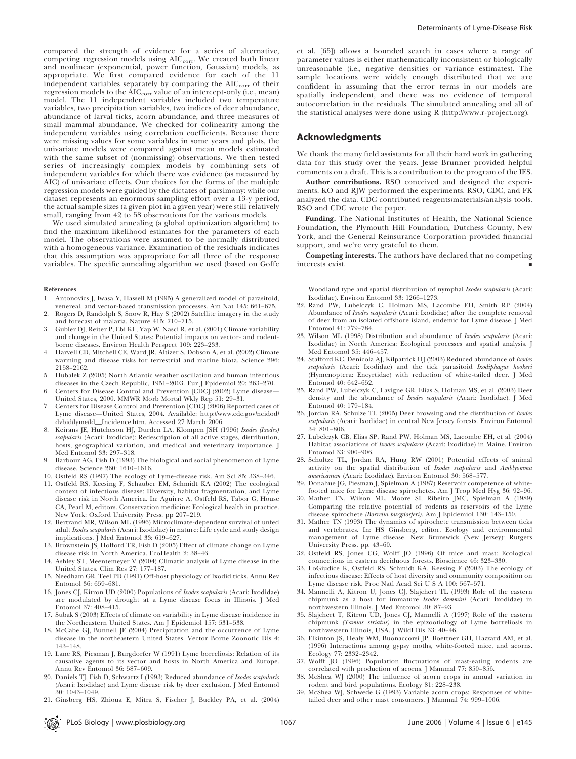compared the strength of evidence for a series of alternative, competing regression models using  $AIC_{\text{corr}}$ . We created both linear and nonlinear (exponential, power function, Gaussian) models, as appropriate. We first compared evidence for each of the 11 independent variables separately by comparing the  $AIC<sub>corr</sub>$  of their regression models to the  $AIC_{\text{corr}}$  value of an intercept-only (i.e., mean) model. The 11 independent variables included two temperature variables, two precipitation variables, two indices of deer abundance, abundance of larval ticks, acorn abundance, and three measures of small mammal abundance. We checked for colinearity among the independent variables using correlation coefficients. Because there were missing values for some variables in some years and plots, the univariate models were compared against mean models estimated with the same subset of (nonmissing) observations. We then tested series of increasingly complex models by combining sets of independent variables for which there was evidence (as measured by AIC) of univariate effects. Our choices for the forms of the multiple regression models were guided by the dictates of parsimony: while our dataset represents an enormous sampling effort over a 13-y period, the actual sample sizes (a given plot in a given year) were still relatively small, ranging from 42 to 58 observations for the various models.

We used simulated annealing (a global optimization algorithm) to find the maximum likelihood estimates for the parameters of each model. The observations were assumed to be normally distributed with a homogeneous variance. Examination of the residuals indicates that this assumption was appropriate for all three of the response variables. The specific annealing algorithm we used (based on Goffe

#### References

- 1. Antonovics J, Iwasa Y, Hassell M (1995) A generalized model of parasitoid, venereal, and vector-based transmission processes. Am Nat 145: 661–675. 2. Rogers D, Randolph S, Snow R, Hay S (2002) Satellite imagery in the study
- and forecast of malaria. Nature 415: 710–715.
- 3. Gubler DJ, Reiter P, Ebi KL, Yap W, Nasci R, et al. (2001) Climate variability and change in the United States: Potential impacts on vector- and rodentborne diseases. Environ Health Perspect 109: 223–233.
- 4. Harvell CD, Mitchell CE, Ward JR, Altizer S, Dobson A, et al. (2002) Climate warming and disease risks for terrestrial and marine biota. Science 296: 2158–2162.
- 5. Hubalek Z (2005) North Atlantic weather oscillation and human infectious diseases in the Czech Republic, 1951–2003. Eur J Epidemiol 20: 263–270.
- 6. Centers for Disease Control and Prevention [CDC] (2002) Lyme disease— United States, 2000. MMWR Morb Mortal Wkly Rep 51: 29–31.
- 7. Centers for Disease Control and Prevention [CDC] (2006) Reported cases of Lyme disease—United States, 2004. Available: http://www.cdc.gov/ncidod/ dvbid/lyme/ld\_Incidence.htm. Accessed 27 March 2006.
- 8. Keirans JE, Hutcheson HJ, Durden LA, Klompen JSH (1996) Ixodes (Ixodes) scapularis (Acari: Ixodidae): Redescription of all active stages, distribution, hosts, geographical variation, and medical and veterinary importance. J Med Entomol 33: 297–318.
- Barbour AG, Fish D (1993) The biological and social phenomenon of Lyme disease. Science 260: 1610–1616.
- 10. Ostfeld RS (1997) The ecology of Lyme-disease risk. Am Sci 85: 338–346.
- 11. Ostfeld RS, Keesing F, Schauber EM, Schmidt KA (2002) The ecological context of infectious disease: Diversity, habitat fragmentation, and Lyme disease risk in North America. In: Aguirre A, Ostfeld RS, Tabor G, House CA, Pearl M, editors. Conservation medicine: Ecological health in practice. New York: Oxford University Press. pp 207–219.
- 12. Bertrand MR, Wilson ML (1996) Microclimate-dependent survival of unfed adult Ixodes scapularis (Acari: Ixodidae) in nature: Life cycle and study design implications. J Med Entomol 33: 619–627.
- 13. Brownstein JS, Holford TR, Fish D (2005) Effect of climate change on Lyme disease risk in North America. EcoHealth 2: 38–46.
- 14. Ashley ST, Meentemeyer V (2004) Climatic analysis of Lyme disease in the United States. Clim Res 27: 177–187.
- 15. Needham GR, Teel PD (1991) Off-host physiology of Ixodid ticks. Annu Rev Entomol 36: 659–681.
- 16. Jones CJ, Kitron UD (2000) Populations of Ixodes scapularis (Acari: Ixodidae) are modulated by drought at a Lyme disease focus in Illinois. J Med Entomol 37: 408–415.
- 17. Subak S (2003) Effects of climate on variability in Lyme disease incidence in the Northeastern United States. Am J Epidemiol 157: 531–538.
- 18. McCabe GJ, Bunnell JE (2004) Precipitation and the occurrence of Lyme disease in the northeastern United States. Vector Borne Zoonotic Dis 4: 143–148.
- 19. Lane RS, Piesman J, Burgdorfer W (1991) Lyme borreliosis: Relation of its causative agents to its vector and hosts in North America and Europe. Annu Rev Entomol 36: 587–609.
- 20. Daniels TJ, Fish D, Schwartz I (1993) Reduced abundance of Ixodes scapularis (Acari: Ixodidae) and Lyme disease risk by deer exclusion. J Med Entomol 30: 1043–1049.
- 21. Ginsberg HS, Zhioua E, Mitra S, Fischer J, Buckley PA, et al. (2004)

et al. [65]) allows a bounded search in cases where a range of parameter values is either mathematically inconsistent or biologically unreasonable (i.e., negative densities or variance estimates). The sample locations were widely enough distributed that we are confident in assuming that the error terms in our models are spatially independent, and there was no evidence of temporal autocorrelation in the residuals. The simulated annealing and all of the statistical analyses were done using R (http://www.r-project.org).

# Acknowledgments

We thank the many field assistants for all their hard work in gathering data for this study over the years. Jesse Brunner provided helpful comments on a draft. This is a contribution to the program of the IES.

Author contributions. RSO conceived and designed the experiments. KO and RJW performed the experiments. RSO, CDC, and FK analyzed the data. CDC contributed reagents/materials/analysis tools. RSO and CDC wrote the paper.

Funding. The National Institutes of Health, the National Science Foundation, the Plymouth Hill Foundation, Dutchess County, New York, and the General Reinsurance Corporation provided financial support, and we're very grateful to them.

Competing interests. The authors have declared that no competing interests exist. *&*

Woodland type and spatial distribution of nymphal Ixodes scapularis (Acari: Ixodidae). Environ Entomol 33: 1266–1273.

- 22. Rand PW, Lubelczyk C, Holman MS, Lacombe EH, Smith RP (2004) Abundance of Ixodes scapularis (Acari: Ixodidae) after the complete removal of deer from an isolated offshore island, endemic for Lyme disease. J Med Entomol 41: 779–784.
- 23. Wilson ML (1998) Distribution and abundance of Ixodes scapularis (Acari: Ixodidae) in North America: Ecological processes and spatial analysis. J Med Entomol 35: 446–457.
- 24. Stafford KC, Denicola AJ, Kilpatrick HJ (2003) Reduced abundance of Ixodes scapularis (Acari: Ixodidae) and the tick parasitoid Ixodiphagus hookeri (Hymenoptera: Encyrtidae) with reduction of white-tailed deer. J Med Entomol 40: 642–652.
- 25. Rand PW, Lubelczyk C, Lavigne GR, Elias S, Holman MS, et al. (2003) Deer density and the abundance of Ixodes scapularis (Acari: Ixodidae). J Med Entomol 40: 179–184.
- 26. Jordan RA, Schulze TL (2005) Deer browsing and the distribution of Ixodes scapularis (Acari: Ixodidae) in central New Jersey forests. Environ Entomol 34: 801–806.
- 27. Lubelczyk CB, Elias SP, Rand PW, Holman MS, Lacombe EH, et al. (2004) Habitat associations of Ixodes scapularis (Acari: Ixodidae) in Maine. Environ Entomol 33: 900–906.
- 28. Schultze TL, Jordan RA, Hung RW (2001) Potential effects of animal activity on the spatial distribution of Ixodes scapularis and Amblyomma americanum (Acari: Ixodidae). Environ Entomol 30: 568–577.
- 29. Donahue JG, Piesman J, Spielman A (1987) Reservoir competence of whitefooted mice for Lyme disease spirochetes. Am J Trop Med Hyg 36: 92–96.
- 30. Mather TN, Wilson ML, Moore SI, Ribeiro JMC, Spielman A (1989) Comparing the relative potential of rodents as reservoirs of the Lyme disease spirochete (Borrelia burgdorferi). Am J Epidemiol 130: 143–150.
- 31. Mather TN (1993) The dynamics of spirochete transmission between ticks and vertebrates. In: HS Ginsberg, editor. Ecology and environmental management of Lyme disease. New Brunswick (New Jersey): Rutgers University Press. pp. 43–60.
- 32. Ostfeld RS, Jones CG, Wolff JO (1996) Of mice and mast: Ecological connections in eastern deciduous forests. Bioscience 46: 323–330.
- 33. LoGiudice K, Ostfeld RS, Schmidt KA, Keesing F (2003) The ecology of infectious disease: Effects of host diversity and community composition on Lyme disease risk. Proc Natl Acad Sci U S A 100: 567–571.
- 34. Mannelli A, Kitron U, Jones CJ, Slajchert TL (1993) Role of the eastern chipmunk as a host for immature Ixodes dammini (Acari: Ixodidae) in northwestern Illinois. J Med Entomol 30: 87–93.
- 35. Slajchert T, Kitron UD, Jones CJ, Mannelli A (1997) Role of the eastern chipmunk (Tamias striatus) in the epizootiology of Lyme borreliosis in northwestern Illinois, USA. J Wildl Dis 33: 40–46.
- 36. Elkinton JS, Healy WM, Buonaccorsi JP, Boettner GH, Hazzard AM, et al. (1996) Interactions among gypsy moths, white-footed mice, and acorns. Ecology 77: 2332–2342.
- 37. Wolff JO (1996) Population fluctuations of mast-eating rodents are correlated with production of acorns. J Mammal 77: 850–856.
- 38. McShea WJ (2000) The influence of acorn crops in annual variation in rodent and bird populations. Ecology 81: 228–238.
- 39. McShea WJ, Schwede G (1993) Variable acorn crops: Responses of whitetailed deer and other mast consumers. J Mammal 74: 999–1006.

PLoS Biology | www.plosbiology.org | www.plosbiology.org | 1067 | 1067 | June 2006 | Volume 4 | Issue 6 | e145